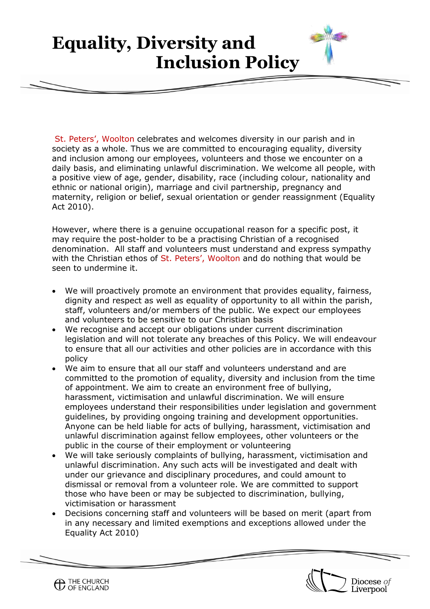## **Equality, Diversity and Inclusion Policy**

**St. Peter's, Woolton**

St. Peters', Woolton celebrates and welcomes diversity in our parish and in society as a whole. Thus we are committed to encouraging equality, diversity and inclusion among our employees, volunteers and those we encounter on a daily basis, and eliminating unlawful discrimination. We welcome all people, with a positive view of age, gender, disability, race (including colour, nationality and ethnic or national origin), marriage and civil partnership, pregnancy and maternity, religion or belief, sexual orientation or gender reassignment (Equality Act 2010).

However, where there is a genuine occupational reason for a specific post, it may require the post-holder to be a practising Christian of a recognised denomination. All staff and volunteers must understand and express sympathy with the Christian ethos of St. Peters', Woolton and do nothing that would be seen to undermine it.

- We will proactively promote an environment that provides equality, fairness, dignity and respect as well as equality of opportunity to all within the parish, staff, volunteers and/or members of the public. We expect our employees and volunteers to be sensitive to our Christian basis
- We recognise and accept our obligations under current discrimination legislation and will not tolerate any breaches of this Policy. We will endeavour to ensure that all our activities and other policies are in accordance with this policy
- We aim to ensure that all our staff and volunteers understand and are committed to the promotion of equality, diversity and inclusion from the time of appointment. We aim to create an environment free of bullying, harassment, victimisation and unlawful discrimination. We will ensure employees understand their responsibilities under legislation and government guidelines, by providing ongoing training and development opportunities. Anyone can be held liable for acts of bullying, harassment, victimisation and unlawful discrimination against fellow employees, other volunteers or the public in the course of their employment or volunteering
- We will take seriously complaints of bullying, harassment, victimisation and unlawful discrimination. Any such acts will be investigated and dealt with under our grievance and disciplinary procedures, and could amount to dismissal or removal from a volunteer role. We are committed to support those who have been or may be subjected to discrimination, bullying, victimisation or harassment
- Decisions concerning staff and volunteers will be based on merit (apart from in any necessary and limited exemptions and exceptions allowed under the Equality Act 2010)